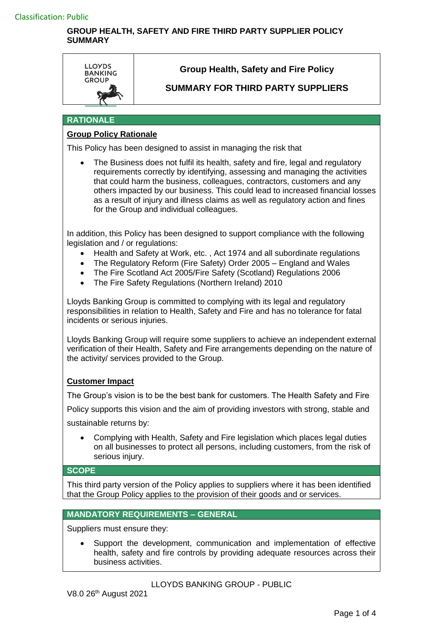

# **Group Health, Safety and Fire Policy**

# **SUMMARY FOR THIRD PARTY SUPPLIERS**

#### **RATIONALE**

## **Group Policy Rationale**

This Policy has been designed to assist in managing the risk that

 The Business does not fulfil its health, safety and fire, legal and regulatory requirements correctly by identifying, assessing and managing the activities that could harm the business, colleagues, contractors, customers and any others impacted by our business. This could lead to increased financial losses as a result of injury and illness claims as well as regulatory action and fines for the Group and individual colleagues.

In addition, this Policy has been designed to support compliance with the following legislation and / or regulations:

- Health and Safety at Work, etc. , Act 1974 and all subordinate regulations
- The Regulatory Reform (Fire Safety) Order 2005 England and Wales
- The Fire Scotland Act 2005/Fire Safety (Scotland) Regulations 2006
- The Fire Safety Regulations (Northern Ireland) 2010

Lloyds Banking Group is committed to complying with its legal and regulatory responsibilities in relation to Health, Safety and Fire and has no tolerance for fatal incidents or serious injuries.

Lloyds Banking Group will require some suppliers to achieve an independent external verification of their Health, Safety and Fire arrangements depending on the nature of the activity/ services provided to the Group.

#### **Customer Impact**

The Group's vision is to be the best bank for customers. The Health Safety and Fire

Policy supports this vision and the aim of providing investors with strong, stable and

sustainable returns by:

 Complying with Health, Safety and Fire legislation which places legal duties on all businesses to protect all persons, including customers, from the risk of serious injury.

#### **SCOPE**

This third party version of the Policy applies to suppliers where it has been identified that the Group Policy applies to the provision of their goods and or services.

## **MANDATORY REQUIREMENTS – GENERAL**

Suppliers must ensure they:

 Support the development, communication and implementation of effective health, safety and fire controls by providing adequate resources across their business activities.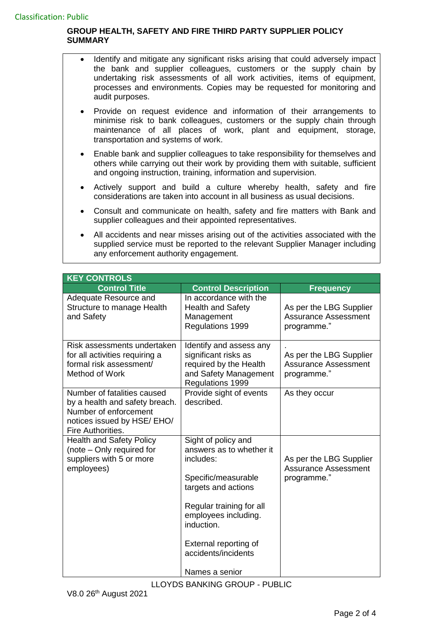- Identify and mitigate any significant risks arising that could adversely impact the bank and supplier colleagues, customers or the supply chain by undertaking risk assessments of all work activities, items of equipment, processes and environments. Copies may be requested for monitoring and audit purposes.
- Provide on request evidence and information of their arrangements to minimise risk to bank colleagues, customers or the supply chain through maintenance of all places of work, plant and equipment, storage, transportation and systems of work.
- Enable bank and supplier colleagues to take responsibility for themselves and others while carrying out their work by providing them with suitable, sufficient and ongoing instruction, training, information and supervision.
- Actively support and build a culture whereby health, safety and fire considerations are taken into account in all business as usual decisions.
- Consult and communicate on health, safety and fire matters with Bank and supplier colleagues and their appointed representatives.
- All accidents and near misses arising out of the activities associated with the supplied service must be reported to the relevant Supplier Manager including any enforcement authority engagement.

| <b>KEY CONTROLS</b>                                                                                                                        |                                                                                                                                                                                                                                                |                                                                       |  |  |
|--------------------------------------------------------------------------------------------------------------------------------------------|------------------------------------------------------------------------------------------------------------------------------------------------------------------------------------------------------------------------------------------------|-----------------------------------------------------------------------|--|--|
| <b>Control Title</b>                                                                                                                       | <b>Control Description</b>                                                                                                                                                                                                                     | <b>Frequency</b>                                                      |  |  |
| Adequate Resource and<br>Structure to manage Health<br>and Safety                                                                          | In accordance with the<br><b>Health and Safety</b><br>Management<br>Regulations 1999                                                                                                                                                           | As per the LBG Supplier<br><b>Assurance Assessment</b><br>programme." |  |  |
| Risk assessments undertaken<br>for all activities requiring a<br>formal risk assessment/<br>Method of Work                                 | Identify and assess any<br>significant risks as<br>required by the Health<br>and Safety Management<br>Regulations 1999                                                                                                                         | As per the LBG Supplier<br><b>Assurance Assessment</b><br>programme." |  |  |
| Number of fatalities caused<br>by a health and safety breach.<br>Number of enforcement<br>notices issued by HSE/ EHO/<br>Fire Authorities. | Provide sight of events<br>described.                                                                                                                                                                                                          | As they occur                                                         |  |  |
| <b>Health and Safety Policy</b><br>(note – Only required for<br>suppliers with 5 or more<br>employees)                                     | Sight of policy and<br>answers as to whether it<br>includes:<br>Specific/measurable<br>targets and actions<br>Regular training for all<br>employees including.<br>induction.<br>External reporting of<br>accidents/incidents<br>Names a senior | As per the LBG Supplier<br><b>Assurance Assessment</b><br>programme." |  |  |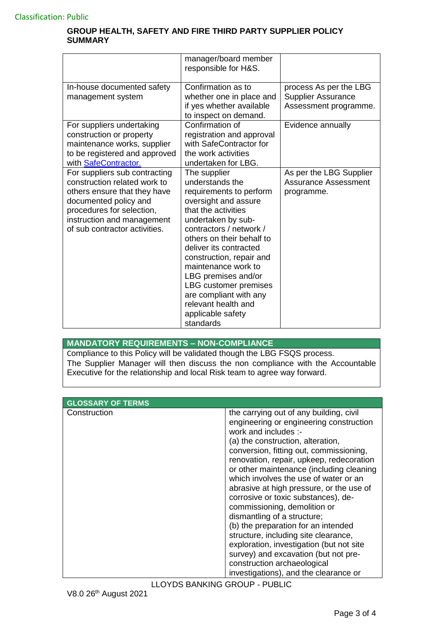|                                                                                                                                                                                                                    | manager/board member<br>responsible for H&S.                                                                                                                                                                                                                                                                                                                                                            |                                                                              |
|--------------------------------------------------------------------------------------------------------------------------------------------------------------------------------------------------------------------|---------------------------------------------------------------------------------------------------------------------------------------------------------------------------------------------------------------------------------------------------------------------------------------------------------------------------------------------------------------------------------------------------------|------------------------------------------------------------------------------|
| In-house documented safety<br>management system                                                                                                                                                                    | Confirmation as to<br>whether one in place and<br>if yes whether available<br>to inspect on demand.                                                                                                                                                                                                                                                                                                     | process As per the LBG<br><b>Supplier Assurance</b><br>Assessment programme. |
| For suppliers undertaking<br>construction or property<br>maintenance works, supplier<br>to be registered and approved<br>with SafeContractor.                                                                      | Confirmation of<br>registration and approval<br>with SafeContractor for<br>the work activities<br>undertaken for LBG.                                                                                                                                                                                                                                                                                   | Evidence annually                                                            |
| For suppliers sub contracting<br>construction related work to<br>others ensure that they have<br>documented policy and<br>procedures for selection,<br>instruction and management<br>of sub contractor activities. | The supplier<br>understands the<br>requirements to perform<br>oversight and assure<br>that the activities<br>undertaken by sub-<br>contractors / network /<br>others on their behalf to<br>deliver its contracted<br>construction, repair and<br>maintenance work to<br>LBG premises and/or<br>LBG customer premises<br>are compliant with any<br>relevant health and<br>applicable safety<br>standards | As per the LBG Supplier<br><b>Assurance Assessment</b><br>programme.         |

# **MANDATORY REQUIREMENTS – NON-COMPLIANCE**

Compliance to this Policy will be validated though the LBG FSQS process. The Supplier Manager will then discuss the non compliance with the Accountable Executive for the relationship and local Risk team to agree way forward.

| <b>GLOSSARY OF TERMS</b> |                                                                                                                                                                                                                                                                                                                                                                                                                                                                                                                                                                                                                                                                                 |
|--------------------------|---------------------------------------------------------------------------------------------------------------------------------------------------------------------------------------------------------------------------------------------------------------------------------------------------------------------------------------------------------------------------------------------------------------------------------------------------------------------------------------------------------------------------------------------------------------------------------------------------------------------------------------------------------------------------------|
| Construction             | the carrying out of any building, civil<br>engineering or engineering construction<br>work and includes :-<br>(a) the construction, alteration,<br>conversion, fitting out, commissioning,<br>renovation, repair, upkeep, redecoration<br>or other maintenance (including cleaning<br>which involves the use of water or an<br>abrasive at high pressure, or the use of<br>corrosive or toxic substances), de-<br>commissioning, demolition or<br>dismantling of a structure;<br>(b) the preparation for an intended<br>structure, including site clearance,<br>exploration, investigation (but not site<br>survey) and excavation (but not pre-<br>construction archaeological |
|                          | investigations), and the clearance or                                                                                                                                                                                                                                                                                                                                                                                                                                                                                                                                                                                                                                           |